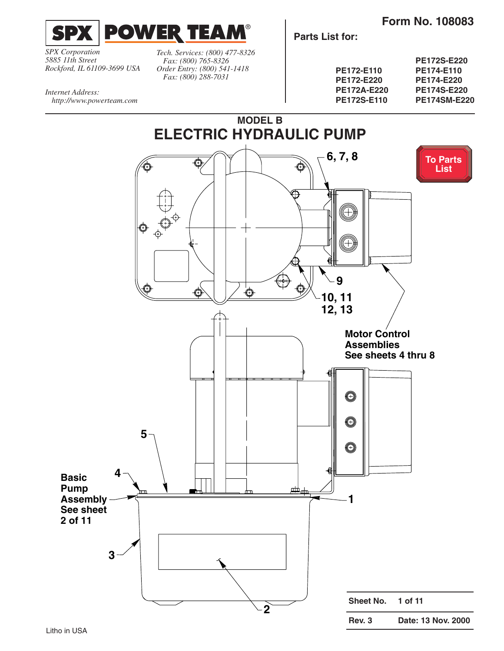**Form No. 108083**

<span id="page-0-0"></span>

*SPX Corporation 5885 11th Street Rockford, IL 61109-3699 USA*

*http://www.powerteam.com*

*Internet Address:*

*Tech. Services: (800) 477-8326 Fax: (800) 765-8326 Order Entry: (800) 541-1418 Fax: (800) 288-7031*

**Parts List for:**

|                    | <b>PE172S-E220</b>  |
|--------------------|---------------------|
| <b>PE172-E110</b>  | PE174-E110          |
| <b>PE172-E220</b>  | <b>PE174-E220</b>   |
| <b>PE172A-E220</b> | <b>PE174S-E220</b>  |
| <b>PE172S-E110</b> | <b>PE174SM-E220</b> |

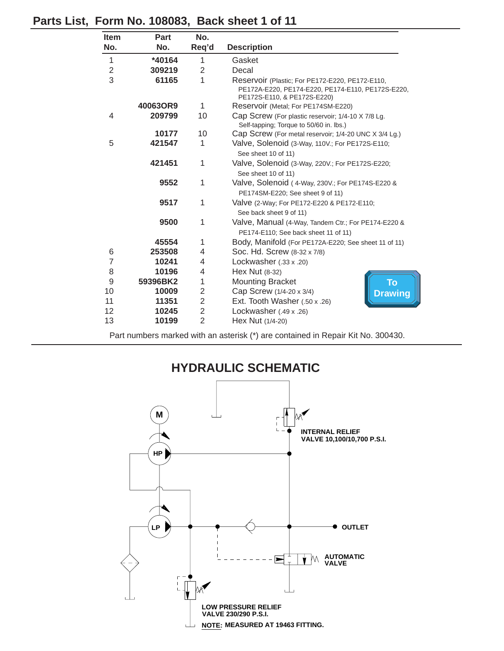| <b>Item</b>             | <b>Part</b> | No.            |                                                                                                                                     |  |  |
|-------------------------|-------------|----------------|-------------------------------------------------------------------------------------------------------------------------------------|--|--|
| No.                     | No.         | Req'd          | <b>Description</b>                                                                                                                  |  |  |
| 1                       | *40164      | 1              | Gasket                                                                                                                              |  |  |
| $\overline{\mathbf{c}}$ | 309219      | 2              | Decal                                                                                                                               |  |  |
| $\overline{3}$          | 61165       | 1              | Reservoir (Plastic; For PE172-E220, PE172-E110,<br>PE172A-E220, PE174-E220, PE174-E110, PE172S-E220,<br>PE172S-E110, & PE172S-E220) |  |  |
|                         | 40063OR9    | 1              | Reservoir (Metal; For PE174SM-E220)                                                                                                 |  |  |
| 4                       | 209799      | 10             | Cap Screw (For plastic reservoir; 1/4-10 X 7/8 Lg.<br>Self-tapping; Torque to 50/60 in. lbs.)                                       |  |  |
|                         | 10177       | 10             | Cap Screw (For metal reservoir; 1/4-20 UNC X 3/4 Lg.)                                                                               |  |  |
| 5                       | 421547      | 1              | Valve, Solenoid (3-Way, 110V.; For PE172S-E110;<br>See sheet 10 of 11)                                                              |  |  |
|                         | 421451      | 1              | Valve, Solenoid (3-Way, 220V.; For PE172S-E220;<br>See sheet 10 of 11)                                                              |  |  |
|                         | 9552        | 1              | Valve, Solenoid (4-Way, 230V.; For PE174S-E220 &<br>PE174SM-E220; See sheet 9 of 11)                                                |  |  |
|                         | 9517        | 1              | Valve (2-Way; For PE172-E220 & PE172-E110;<br>See back sheet 9 of 11)                                                               |  |  |
|                         | 9500        | 1              | Valve, Manual (4-Way, Tandem Ctr.; For PE174-E220 &<br>PE174-E110; See back sheet 11 of 11)                                         |  |  |
|                         | 45554       | 1              | Body, Manifold (For PE172A-E220; See sheet 11 of 11)                                                                                |  |  |
| 6                       | 253508      | 4              | Soc. Hd. Screw (8-32 x 7/8)                                                                                                         |  |  |
| $\overline{7}$          | 10241       | 4              | Lockwasher $(.33 \times .20)$                                                                                                       |  |  |
| 8                       | 10196       | 4              | Hex Nut (8-32)                                                                                                                      |  |  |
| 9                       | 59396BK2    | 1              | <b>To</b><br><b>Mounting Bracket</b>                                                                                                |  |  |
| 10                      | 10009       | $\overline{2}$ | Cap Screw (1/4-20 x 3/4)<br><b>Drawing</b>                                                                                          |  |  |
| 11                      | 11351       | $\overline{2}$ | Ext. Tooth Washer (.50 x .26)                                                                                                       |  |  |
| 12                      | 10245       | $\overline{2}$ | Lockwasher $(.49 \times .26)$                                                                                                       |  |  |
| 13                      | 10199       | $\overline{2}$ | Hex Nut (1/4-20)                                                                                                                    |  |  |

## <span id="page-1-0"></span>**Parts List, Form No. 108083, Back sheet 1 of 11**

Part numbers marked with an asterisk (\*) are contained in Repair Kit No. 300430.

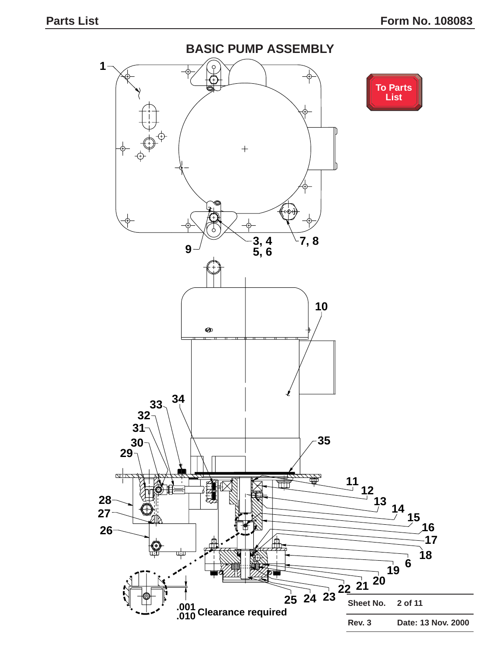<span id="page-2-0"></span>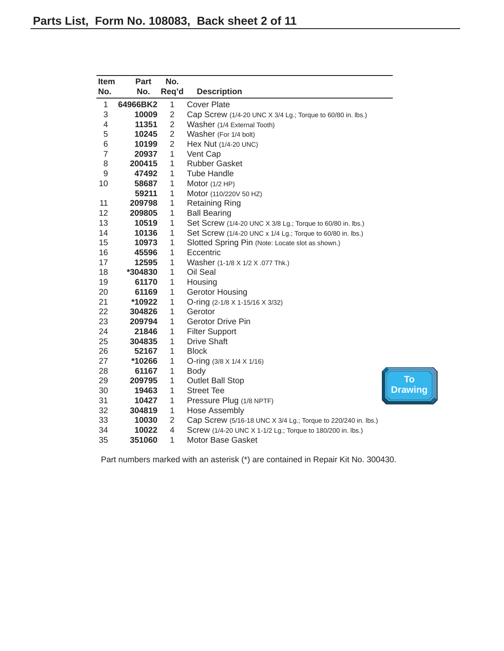<span id="page-3-0"></span>

| <b>Item</b>    | Part     | No.            |                                                               |                |
|----------------|----------|----------------|---------------------------------------------------------------|----------------|
| No.            | No.      | Req'd          | <b>Description</b>                                            |                |
| 1              | 64966BK2 | 1              | <b>Cover Plate</b>                                            |                |
| 3              | 10009    | $\overline{2}$ | Cap Screw (1/4-20 UNC X 3/4 Lg.; Torque to 60/80 in. lbs.)    |                |
| 4              | 11351    | $\overline{2}$ | Washer (1/4 External Tooth)                                   |                |
| 5              | 10245    | $\overline{2}$ | Washer (For 1/4 bolt)                                         |                |
| 6              | 10199    | $\overline{2}$ | Hex Nut (1/4-20 UNC)                                          |                |
| $\overline{7}$ | 20937    | 1              | Vent Cap                                                      |                |
| 8              | 200415   | 1              | <b>Rubber Gasket</b>                                          |                |
| 9              | 47492    | 1              | <b>Tube Handle</b>                                            |                |
| 10             | 58687    | 1              | Motor $(1/2$ HP)                                              |                |
|                | 59211    | 1              | Motor (110/220V 50 HZ)                                        |                |
| 11             | 209798   | $\mathbf{1}$   | <b>Retaining Ring</b>                                         |                |
| 12             | 209805   | 1              | <b>Ball Bearing</b>                                           |                |
| 13             | 10519    | 1              | Set Screw (1/4-20 UNC X 3/8 Lg.; Torque to 60/80 in. lbs.)    |                |
| 14             | 10136    | 1              | Set Screw (1/4-20 UNC x 1/4 Lg.; Torque to 60/80 in. lbs.)    |                |
| 15             | 10973    | 1              | Slotted Spring Pin (Note: Locate slot as shown.)              |                |
| 16             | 45596    | $\mathbf{1}$   | Eccentric                                                     |                |
| 17             | 12595    | 1              | Washer (1-1/8 X 1/2 X .077 Thk.)                              |                |
| 18             | *304830  | 1              | Oil Seal                                                      |                |
| 19             | 61170    | $\mathbf{1}$   | Housing                                                       |                |
| 20             | 61169    | $\mathbf{1}$   | <b>Gerotor Housing</b>                                        |                |
| 21             | *10922   | $\mathbf{1}$   | O-ring (2-1/8 X 1-15/16 X 3/32)                               |                |
| 22             | 304826   | $\mathbf{1}$   | Gerotor                                                       |                |
| 23             | 209794   | 1              | <b>Gerotor Drive Pin</b>                                      |                |
| 24             | 21846    | 1              | <b>Filter Support</b>                                         |                |
| 25             | 304835   | $\mathbf{1}$   | <b>Drive Shaft</b>                                            |                |
| 26             | 52167    | 1              | <b>Block</b>                                                  |                |
| 27             | *10266   | $\mathbf{1}$   | O-ring $(3/8 \times 1/4 \times 1/16)$                         |                |
| 28             | 61167    | 1              | Body                                                          |                |
| 29             | 209795   | $\mathbf{1}$   | <b>Outlet Ball Stop</b>                                       | <b>To</b>      |
| 30             | 19463    | $\mathbf{1}$   | <b>Street Tee</b>                                             | <b>Drawing</b> |
| 31             | 10427    | $\mathbf{1}$   | Pressure Plug (1/8 NPTF)                                      |                |
| 32             | 304819   | 1              | <b>Hose Assembly</b>                                          |                |
| 33             | 10030    | $\overline{2}$ | Cap Screw (5/16-18 UNC X 3/4 Lg.; Torque to 220/240 in. lbs.) |                |
| 34             | 10022    | $\overline{4}$ | Screw (1/4-20 UNC X 1-1/2 Lg.; Torque to 180/200 in. lbs.)    |                |
| 35             | 351060   | 1              | Motor Base Gasket                                             |                |

Part numbers marked with an asterisk (\*) are contained in Repair Kit No. 300430.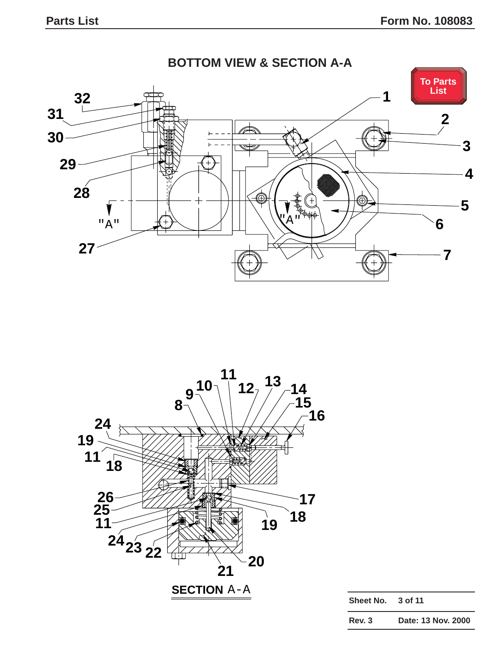<span id="page-4-0"></span>



| Sheet No. 3 of 11 |  |
|-------------------|--|
|                   |  |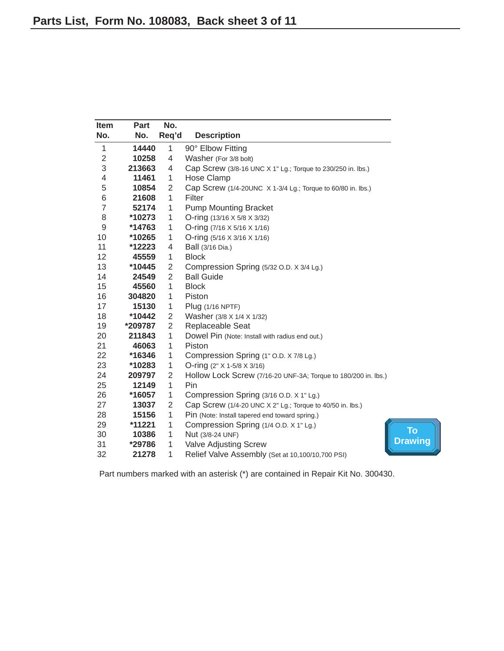<span id="page-5-0"></span>

| <b>Item</b>    | Part     | No.            |                                                                |
|----------------|----------|----------------|----------------------------------------------------------------|
| No.            | No.      | Req'd          | <b>Description</b>                                             |
| $\mathbf{1}$   | 14440    | $\mathbf{1}$   | 90° Elbow Fitting                                              |
| $\overline{2}$ | 10258    | $\overline{4}$ | Washer (For 3/8 bolt)                                          |
| 3              | 213663   | 4              | Cap Screw (3/8-16 UNC X 1" Lg.; Torque to 230/250 in. lbs.)    |
| $\overline{4}$ | 11461    | $\mathbf{1}$   | Hose Clamp                                                     |
| 5              | 10854    | $\overline{2}$ | Cap Screw (1/4-20UNC X 1-3/4 Lg.; Torque to 60/80 in. lbs.)    |
| 6              | 21608    | 1              | Filter                                                         |
| $\overline{7}$ | 52174    | 1              | <b>Pump Mounting Bracket</b>                                   |
| 8              | *10273   | $\mathbf 1$    | O-ring $(13/16 \times 5/8 \times 3/32)$                        |
| $\mathsf g$    | *14763   | $\mathbf{1}$   | O-ring $(7/16 \times 5/16 \times 1/16)$                        |
| 10             | *10265   | $\mathbf{1}$   | O-ring $(5/16 \times 3/16 \times 1/16)$                        |
| 11             | *12223   | 4              | Ball (3/16 Dia.)                                               |
| 12             | 45559    | 1              | <b>Block</b>                                                   |
| 13             | *10445   | $\overline{2}$ | Compression Spring (5/32 O.D. X 3/4 Lg.)                       |
| 14             | 24549    | $\overline{2}$ | <b>Ball Guide</b>                                              |
| 15             | 45560    | $\mathbf{1}$   | <b>Block</b>                                                   |
| 16             | 304820   | $\mathbf{1}$   | Piston                                                         |
| 17             | 15130    | $\mathbf{1}$   | Plug (1/16 NPTF)                                               |
| 18             | *10442   | $\overline{2}$ | Washer (3/8 X 1/4 X 1/32)                                      |
| 19             | *209787  | $\overline{2}$ | Replaceable Seat                                               |
| 20             | 211843   | $\mathbf{1}$   | Dowel Pin (Note: Install with radius end out.)                 |
| 21             | 46063    | 1              | Piston                                                         |
| 22             | *16346   | $\mathbf{1}$   | Compression Spring (1" O.D. X 7/8 Lg.)                         |
| 23             | *10283   | $\mathbf{1}$   | O-ring (2" X 1-5/8 X 3/16)                                     |
| 24             | 209797   | $\overline{2}$ | Hollow Lock Screw (7/16-20 UNF-3A; Torque to 180/200 in. lbs.) |
| 25             | 12149    | $\mathbf{1}$   | Pin                                                            |
| 26             | *16057   | 1              | Compression Spring (3/16 O.D. X 1" Lg.)                        |
| 27             | 13037    | $\overline{2}$ | Cap Screw (1/4-20 UNC X 2" Lg.; Torque to 40/50 in. lbs.)      |
| 28             | 15156    | $\mathbf{1}$   | Pin (Note: Install tapered end toward spring.)                 |
| 29             | $*11221$ | $\mathbf{1}$   | Compression Spring (1/4 O.D. X 1" Lg.)                         |
| 30             | 10386    | $\mathbf{1}$   | Nut (3/8-24 UNF)                                               |
| 31             | *29786   | $\mathbf{1}$   | Valve Adjusting Screw                                          |
| 32             | 21278    | $\mathbf{1}$   | Relief Valve Assembly (Set at 10,100/10,700 PSI)               |

Part numbers marked with an asterisk (\*) are contained in Repair Kit No. 300430.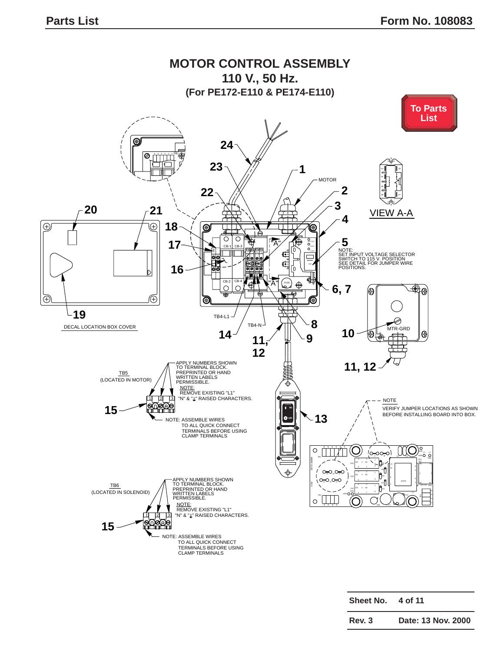<span id="page-6-0"></span>

| Sheet No. | 4 of 11 |  |
|-----------|---------|--|
|           |         |  |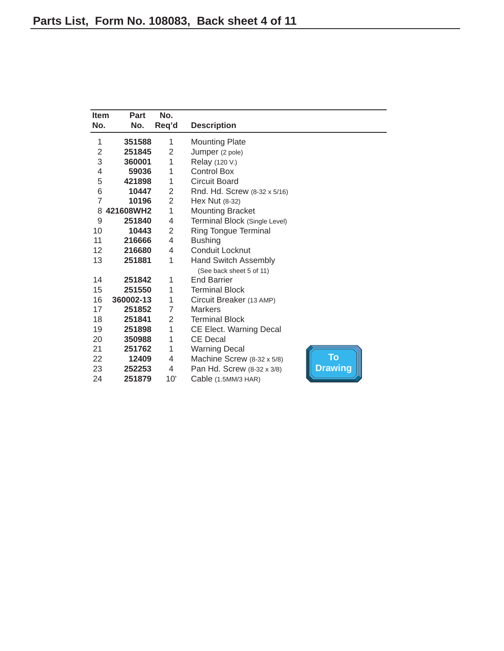<span id="page-7-0"></span>

| <b>Item</b>    | Part      | No.            |                               |                |
|----------------|-----------|----------------|-------------------------------|----------------|
| No.            | No.       | Req'd          | <b>Description</b>            |                |
| 1              | 351588    | 1              | <b>Mounting Plate</b>         |                |
| 2              | 251845    | 2              | Jumper (2 pole)               |                |
| 3              | 360001    | 1              | Relay (120 V.)                |                |
| 4              | 59036     | 1              | <b>Control Box</b>            |                |
| 5              | 421898    | 1              | <b>Circuit Board</b>          |                |
| 6              | 10447     | $\overline{2}$ | Rnd. Hd. Screw (8-32 x 5/16)  |                |
| $\overline{7}$ | 10196     | $\overline{2}$ | Hex Nut (8-32)                |                |
| 8              | 421608WH2 | 1              | <b>Mounting Bracket</b>       |                |
| 9              | 251840    | 4              | Terminal Block (Single Level) |                |
| 10             | 10443     | $\overline{2}$ | <b>Ring Tongue Terminal</b>   |                |
| 11             | 216666    | 4              | <b>Bushing</b>                |                |
| 12             | 216680    | 4              | Conduit Locknut               |                |
| 13             | 251881    | 1              | <b>Hand Switch Assembly</b>   |                |
|                |           |                | (See back sheet 5 of 11)      |                |
| 14             | 251842    | 1              | <b>End Barrier</b>            |                |
| 15             | 251550    | 1              | <b>Terminal Block</b>         |                |
| 16             | 360002-13 | 1              | Circuit Breaker (13 AMP)      |                |
| 17             | 251852    | 7              | <b>Markers</b>                |                |
| 18             | 251841    | 2              | <b>Terminal Block</b>         |                |
| 19             | 251898    | 1              | CE Elect. Warning Decal       |                |
| 20             | 350988    | 1              | <b>CE Decal</b>               |                |
| 21             | 251762    | 1              | <b>Warning Decal</b>          |                |
| 22             | 12409     | 4              | Machine Screw (8-32 x 5/8)    | <b>To</b>      |
| 23             | 252253    | 4              | Pan Hd. Screw (8-32 x 3/8)    | <b>Drawing</b> |
| 24             | 251879    | 10'            | Cable (1.5MM/3 HAR)           |                |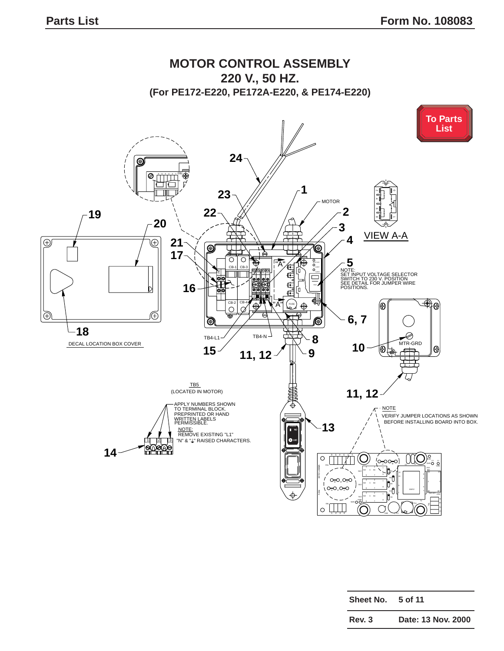<span id="page-8-0"></span>

| Sheet No. | 5 of 11            |
|-----------|--------------------|
| Rev. 3    | Date: 13 Nov. 2000 |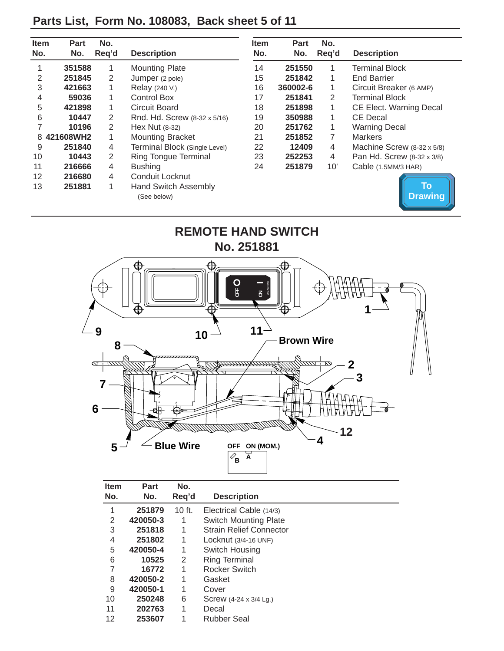# <span id="page-9-0"></span>**Parts List, Form No. 108083, Back sheet 5 of 11**

| <b>Item</b><br>No. | <b>Part</b><br>No. | No.<br>Reg'd   | <b>Description</b>                         | <b>Item</b><br>No. | Part<br>No. | No.<br>Reg'd | <b>Description</b>         |
|--------------------|--------------------|----------------|--------------------------------------------|--------------------|-------------|--------------|----------------------------|
|                    | 351588             | 1              | <b>Mounting Plate</b>                      | 14                 | 251550      | 1            | <b>Terminal Block</b>      |
| 2                  | 251845             | 2              | Jumper (2 pole)                            | 15                 | 251842      | 1            | End Barrier                |
| 3                  | 421663             | 1              | Relay (240 V.)                             | 16                 | 360002-6    | 1            | Circuit Breaker (6 AMP)    |
| 4                  | 59036              | $\mathbf{1}$   | <b>Control Box</b>                         | 17                 | 251841      | 2            | <b>Terminal Block</b>      |
| 5                  | 421898             | 1              | Circuit Board                              | 18                 | 251898      | 1            | CE Elect. Warning Decal    |
| 6                  | 10447              | 2              | Rnd. Hd. Screw (8-32 x 5/16)               | 19                 | 350988      | 1            | <b>CE Decal</b>            |
|                    | 10196              | $\overline{2}$ | Hex Nut (8-32)                             | 20                 | 251762      | 1            | <b>Warning Decal</b>       |
|                    | 8 421608WH2        |                | <b>Mounting Bracket</b>                    | 21                 | 251852      | 7            | <b>Markers</b>             |
| 9                  | 251840             | 4              | Terminal Block (Single Level)              | 22                 | 12409       | 4            | Machine Screw (8-32 x 5/8) |
| 10                 | 10443              | 2              | <b>Ring Tongue Terminal</b>                | 23                 | 252253      | 4            | Pan Hd. Screw (8-32 x 3/8) |
| 11                 | 216666             | 4              | <b>Bushing</b>                             | 24                 | 251879      | 10'          | Cable (1.5MM/3 HAR)        |
| 12                 | 216680             | 4              | Conduit Locknut                            |                    |             |              |                            |
| 13                 | 251881             | $\mathbf{1}$   | <b>Hand Switch Assembly</b><br>(See below) |                    |             |              | To<br><b>Drawing</b>       |



| <b>Item</b> | Part     | No.      |                                |  |
|-------------|----------|----------|--------------------------------|--|
| No.         | No.      | Req'd    | <b>Description</b>             |  |
| 1           | 251879   | $10$ ft. | Electrical Cable (14/3)        |  |
| 2           | 420050-3 | 1        | <b>Switch Mounting Plate</b>   |  |
| 3           | 251818   | 1        | <b>Strain Relief Connector</b> |  |
| 4           | 251802   | 1        | Locknut $(3/4-16$ UNF)         |  |
| 5           | 420050-4 | 1        | Switch Housing                 |  |
| 6           | 10525    | 2        | <b>Ring Terminal</b>           |  |
| 7           | 16772    | 1        | Rocker Switch                  |  |
| 8           | 420050-2 | 1        | Gasket                         |  |
| 9           | 420050-1 | 1        | Cover                          |  |
| 10          | 250248   | 6        | Screw (4-24 x 3/4 Lg.)         |  |
| 11          | 202763   | 1        | Decal                          |  |
| 12          | 253607   | 1        | <b>Rubber Seal</b>             |  |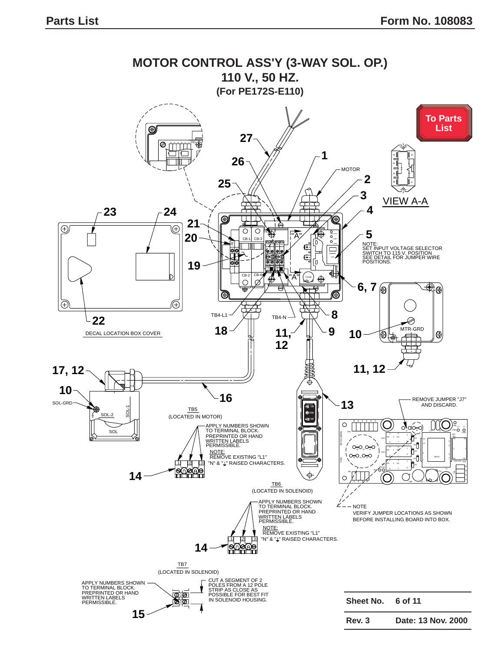<span id="page-10-0"></span>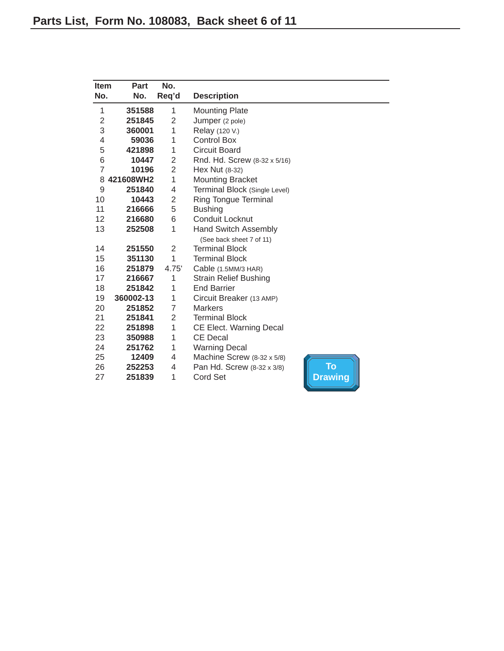<span id="page-11-0"></span>

| <b>Item</b>    | Part      | No.            |                               |                |
|----------------|-----------|----------------|-------------------------------|----------------|
| No.            | No.       | Req'd          | <b>Description</b>            |                |
| $\mathbf{1}$   | 351588    | 1              | <b>Mounting Plate</b>         |                |
| $\overline{2}$ | 251845    | 2              | Jumper (2 pole)               |                |
| 3              | 360001    | 1              | Relay (120 V.)                |                |
| 4              | 59036     | 1              | <b>Control Box</b>            |                |
| 5              | 421898    | 1              | <b>Circuit Board</b>          |                |
| 6              | 10447     | $\overline{2}$ | Rnd. Hd. Screw (8-32 x 5/16)  |                |
| $\overline{7}$ | 10196     | $\overline{2}$ | Hex Nut (8-32)                |                |
| 8              | 421608WH2 | 1              | <b>Mounting Bracket</b>       |                |
| 9              | 251840    | 4              | Terminal Block (Single Level) |                |
| 10             | 10443     | $\overline{2}$ | Ring Tongue Terminal          |                |
| 11             | 216666    | 5              | <b>Bushing</b>                |                |
| 12             | 216680    | 6              | Conduit Locknut               |                |
| 13             | 252508    | 1              | <b>Hand Switch Assembly</b>   |                |
|                |           |                | (See back sheet 7 of 11)      |                |
| 14             | 251550    | $\overline{2}$ | <b>Terminal Block</b>         |                |
| 15             | 351130    | 1              | <b>Terminal Block</b>         |                |
| 16             | 251879    | 4.75'          | Cable (1.5MM/3 HAR)           |                |
| 17             | 216667    | 1              | <b>Strain Relief Bushing</b>  |                |
| 18             | 251842    | 1              | <b>End Barrier</b>            |                |
| 19             | 360002-13 | 1              | Circuit Breaker (13 AMP)      |                |
| 20             | 251852    | 7              | <b>Markers</b>                |                |
| 21             | 251841    | $\overline{2}$ | <b>Terminal Block</b>         |                |
| 22             | 251898    | 1              | CE Elect. Warning Decal       |                |
| 23             | 350988    | 1              | <b>CE Decal</b>               |                |
| 24             | 251762    | 1              | <b>Warning Decal</b>          |                |
| 25             | 12409     | 4              | Machine Screw (8-32 x 5/8)    |                |
| 26             | 252253    | 4              | Pan Hd. Screw (8-32 x 3/8)    | To             |
| 27             | 251839    | 1              | <b>Cord Set</b>               | <b>Drawing</b> |
|                |           |                |                               |                |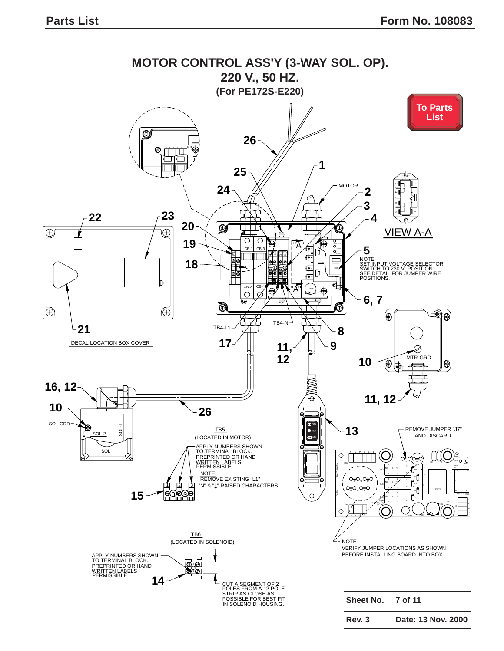<span id="page-12-0"></span>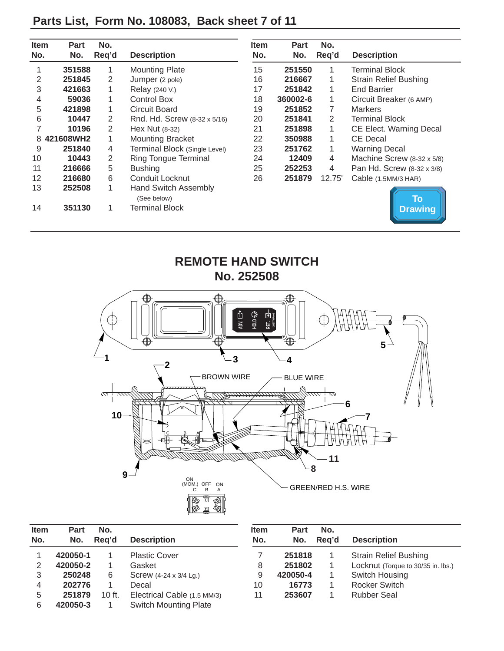| <b>Item</b><br>No. | Part<br>No. | No.<br>Req'd | <b>Description</b>                  | <b>Item</b><br>No. | <b>Part</b><br>No. | No.<br>Req'd | <b>Description</b>           |
|--------------------|-------------|--------------|-------------------------------------|--------------------|--------------------|--------------|------------------------------|
|                    | 351588      | 1            | <b>Mounting Plate</b>               | 15                 | 251550             |              | <b>Terminal Block</b>        |
| 2                  | 251845      | 2            | Jumper (2 pole)                     | 16                 | 216667             | 1            | <b>Strain Relief Bushing</b> |
| 3                  | 421663      | 1            | Relay (240 V.)                      | 17                 | 251842             | 1            | <b>End Barrier</b>           |
| 4                  | 59036       | 1            | <b>Control Box</b>                  | 18                 | 360002-6           | 1            | Circuit Breaker (6 AMP)      |
| 5                  | 421898      | 1            | Circuit Board                       | 19                 | 251852             | 7            | <b>Markers</b>               |
| 6                  | 10447       | 2            | Rnd. Hd. Screw (8-32 x 5/16)        | 20                 | 251841             | 2            | <b>Terminal Block</b>        |
|                    | 10196       | 2            | Hex Nut $(8-32)$                    | 21                 | 251898             | 1            | CE Elect. Warning Decal      |
| 8                  | 421608WH2   | 1            | <b>Mounting Bracket</b>             | 22                 | 350988             | 1            | <b>CE Decal</b>              |
| 9                  | 251840      | 4            | Terminal Block (Single Level)       | 23                 | 251762             | 1            | <b>Warning Decal</b>         |
| 10                 | 10443       | 2            | <b>Ring Tongue Terminal</b>         | 24                 | 12409              | 4            | Machine Screw (8-32 x 5/8)   |
| 11                 | 216666      | 5            | <b>Bushing</b>                      | 25                 | 252253             | 4            | Pan Hd. Screw (8-32 x 3/8)   |
| 12                 | 216680      | 6            | Conduit Locknut                     | 26                 | 251879             | 12.75'       | Cable (1.5MM/3 HAR)          |
| 13                 | 252508      | $\mathbf{1}$ | Hand Switch Assembly<br>(See below) |                    |                    |              | To                           |
| 14                 | 351130      | 1            | Terminal Block                      |                    |                    |              | <b>Drawing</b>               |

# <span id="page-13-0"></span>**Parts List, Form No. 108083, Back sheet 7 of 11**

**REMOTE HAND SWITCH No. 252508**  $\bigoplus$ € 凹៖ **202776Rev6** ⊕ HOLD **HOLD** ADV **ADV.** REV **RET.** ⊕  $5^{\perp}$ **1**  $\sqrt{2}$   $\sqrt{3}$   $\sqrt{4}$ BROWN WIRE A BLUE WIRE  $\frac{1}{\alpha}$  $\alpha$  C B A ON (MOM.) OFF ON C B A GREEN/RED H.S. WIRE

| <b>Item</b><br>No. | Part<br>No. | No.<br>Rea'd | <b>Description</b>           | <b>Item</b><br>No. | Part<br>No. | No.<br>Reg'd | <b>Description</b>                 |
|--------------------|-------------|--------------|------------------------------|--------------------|-------------|--------------|------------------------------------|
|                    | 420050-1    |              | <b>Plastic Cover</b>         |                    | 251818      |              | <b>Strain Relief Bushing</b>       |
| 2                  | 420050-2    |              | Gasket                       | 8                  | 251802      |              | Locknut (Torque to 30/35 in. lbs.) |
| 3                  | 250248      | 6            | Screw (4-24 x 3/4 Lg.)       | 9                  | 420050-4    |              | Switch Housing                     |
| 4                  | 202776      |              | Decal                        | 10                 | 16773       |              | Rocker Switch                      |
| 5                  | 251879      | $10$ ft.     | Electrical Cable (1.5 MM/3)  | 11                 | 253607      |              | <b>Rubber Seal</b>                 |
| 6                  | 420050-3    |              | <b>Switch Mounting Plate</b> |                    |             |              |                                    |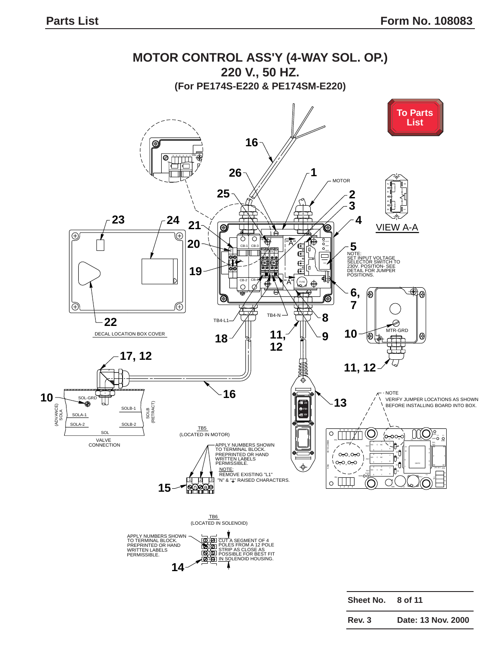<span id="page-14-0"></span>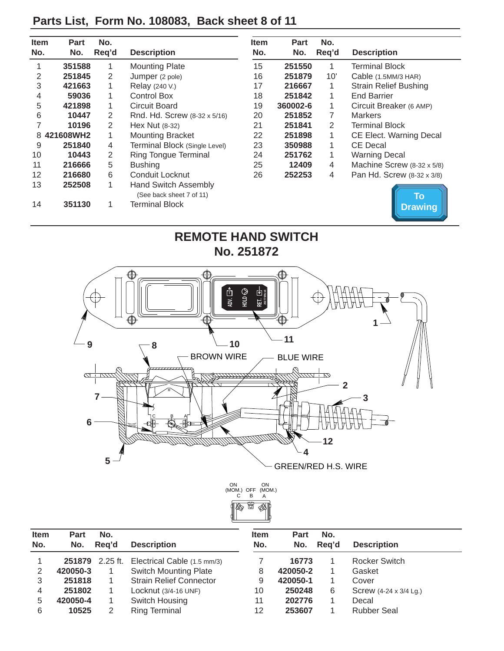# <span id="page-15-0"></span>**Parts List, Form No. 108083, Back sheet 8 of 11**

| <b>Item</b> | Part      | No.   |                                                         | <b>Item</b> | Part     | No.   |                              |
|-------------|-----------|-------|---------------------------------------------------------|-------------|----------|-------|------------------------------|
| No.         | No.       | Req'd | <b>Description</b>                                      | No.         | No.      | Req'd | <b>Description</b>           |
|             | 351588    | 1     | <b>Mounting Plate</b>                                   | 15          | 251550   | 1     | <b>Terminal Block</b>        |
| 2           | 251845    | 2     | Jumper (2 pole)                                         | 16          | 251879   | 10'   | Cable (1.5MM/3 HAR)          |
| 3           | 421663    | 1     | Relay (240 V.)                                          | 17          | 216667   | 1     | <b>Strain Relief Bushing</b> |
| 4           | 59036     | 1     | Control Box                                             | 18          | 251842   | 1     | <b>End Barrier</b>           |
| 5           | 421898    | 1     | Circuit Board                                           | 19          | 360002-6 | 1     | Circuit Breaker (6 AMP)      |
| 6           | 10447     | 2     | Rnd. Hd. Screw (8-32 x 5/16)                            | 20          | 251852   | 7     | <b>Markers</b>               |
|             | 10196     | 2     | Hex Nut $(8-32)$                                        | 21          | 251841   | 2     | <b>Terminal Block</b>        |
| 8           | 421608WH2 | 1     | <b>Mounting Bracket</b>                                 | 22          | 251898   | 1     | CE Elect. Warning Decal      |
| 9           | 251840    | 4     | Terminal Block (Single Level)                           | 23          | 350988   | 1     | <b>CE Decal</b>              |
| 10          | 10443     | 2     | <b>Ring Tongue Terminal</b>                             | 24          | 251762   | 1     | <b>Warning Decal</b>         |
| 11          | 216666    | 5     | <b>Bushing</b>                                          | 25          | 12409    | 4     | Machine Screw (8-32 x 5/8)   |
| 12          | 216680    | 6     | Conduit Locknut                                         | 26          | 252253   | 4     | Pan Hd. Screw (8-32 x 3/8)   |
| 13          | 252508    | 1     | <b>Hand Switch Assembly</b><br>(See back sheet 7 of 11) |             |          |       | To                           |
| 14          | 351130    |       | <b>Terminal Block</b>                                   |             |          |       | <b>Drawing</b>               |





| <b>Item</b><br>No. | Part<br>No. | No.<br>Reg'd | <b>Description</b>                          | <b>Item</b><br>No. | Part<br>No. | No.<br>Rea'd | <b>Description</b>     |
|--------------------|-------------|--------------|---------------------------------------------|--------------------|-------------|--------------|------------------------|
|                    |             |              | 251879 2.25 ft. Electrical Cable (1.5 mm/3) |                    | 16773       |              | Rocker Switch          |
| 2                  | 420050-3    |              | <b>Switch Mounting Plate</b>                | 8                  | 420050-2    |              | Gasket                 |
| 3                  | 251818      |              | <b>Strain Relief Connector</b>              | 9                  | 420050-1    |              | Cover                  |
| 4                  | 251802      |              | Locknut (3/4-16 UNF)                        | 10                 | 250248      | 6            | Screw (4-24 x 3/4 Lg.) |
| 5                  | 420050-4    |              | Switch Housing                              | 11                 | 202776      |              | Decal                  |
| 6                  | 10525       |              | Ring Terminal                               | 12                 | 253607      |              | <b>Rubber Seal</b>     |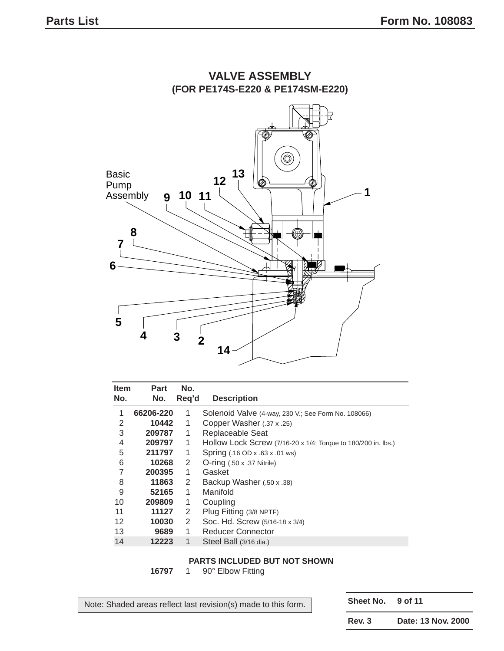

# **VALVE ASSEMBLY**

| <b>Item</b><br>No. | Part<br>No. | No.<br>Reg'd   | <b>Description</b>                                            |
|--------------------|-------------|----------------|---------------------------------------------------------------|
| 1                  | 66206-220   | 1              | Solenoid Valve (4-way, 230 V.; See Form No. 108066)           |
| 2                  | 10442       | 1              | Copper Washer (.37 x .25)                                     |
| 3                  | 209787      | 1              | Replaceable Seat                                              |
| 4                  | 209797      | 1              | Hollow Lock Screw (7/16-20 x 1/4; Torque to 180/200 in. lbs.) |
| 5                  | 211797      | 1              | Spring (.16 OD x .63 x .01 ws)                                |
| 6                  | 10268       | 2              | $O\text{-ring}$ (.50 x .37 Nitrile)                           |
| 7                  | 200395      | 1              | Gasket                                                        |
| 8                  | 11863       | $\overline{2}$ | Backup Washer (.50 x .38)                                     |
| 9                  | 52165       | 1              | Manifold                                                      |
| 10                 | 209809      | 1              | Coupling                                                      |
| 11                 | 11127       | 2              | Plug Fitting (3/8 NPTF)                                       |
| 12                 | 10030       | 2              | Soc. Hd. Screw (5/16-18 x 3/4)                                |
| 13                 | 9689        | 1              | <b>Reducer Connector</b>                                      |
| 14                 | 12223       | 1              | Steel Ball (3/16 dia.)                                        |

#### **PARTS INCLUDED BUT NOT SHOWN**

1 90° Elbow Fitting

Note: Shaded areas reflect last revision(s) made to this form.

**Sheet No. 9 of 11**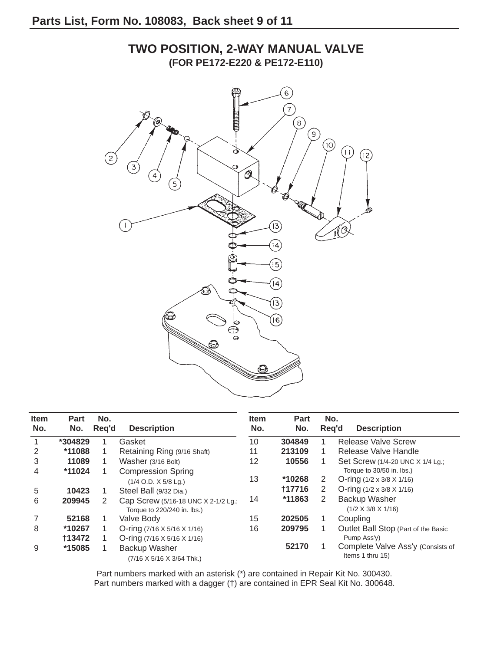# $\widehat{6}$  $\widehat{\overline{\tau}}$  $(8)$  $\bigcirc$ രി  $\widehat{\mathbb{D}}$  $(12)$  $\left(2\right)$  $\overline{3}$ ☝ 13 10  $\overline{4}$  $\overline{5}$  $\boldsymbol{4}$  $\left( 3\right)$  $($ 6 $)$  $\bigoplus_{\mathbf{Q}}$

| <b>Item</b><br>No. | <b>Part</b><br>No. | No.<br>Req'd | <b>Description</b>                                                 | <b>Item</b><br>No. | Part<br>No. |   | No.<br><b>Description</b><br>Reg'd                     |
|--------------------|--------------------|--------------|--------------------------------------------------------------------|--------------------|-------------|---|--------------------------------------------------------|
|                    | *304829            |              | Gasket                                                             | 10                 | 304849      |   | <b>Release Valve Screw</b>                             |
| 2                  | *11088             |              | Retaining Ring (9/16 Shaft)                                        | 11                 | 213109      |   | Release Valve Handle                                   |
| 3                  | 11089              |              | Washer (3/16 Bolt)                                                 | 12                 | 10556       |   | Set Screw (1/4-20 UNC X 1/4 Lg.;                       |
| 4                  | *11024             |              | <b>Compression Spring</b>                                          |                    |             |   | Torque to 30/50 in. lbs.)                              |
|                    |                    |              | $(1/4$ O.D. $X$ 5/8 Lg.)                                           | 13                 | *10268      | 2 | O-ring $(1/2 \times 3/8 \times 1/16)$                  |
| 5                  | 10423              |              | Steel Ball (9/32 Dia.)                                             |                    | 117716      | 2 | O-ring $(1/2 \times 3/8 \times 1/16)$                  |
| 6                  | 209945             | 2            | Cap Screw (5/16-18 UNC X 2-1/2 Lg.;<br>Torque to 220/240 in. lbs.) | 14                 | *11863      | 2 | <b>Backup Washer</b><br>$(1/2 \times 3/8 \times 1/16)$ |
|                    | 52168              |              | Valve Body                                                         | 15                 | 202505      |   | Coupling                                               |
| 8                  | *10267             |              | O-ring $(7/16 \times 5/16 \times 1/16)$                            | 16                 | 209795      |   | Outlet Ball Stop (Part of the Basic                    |
|                    | +13472             |              | O-ring $(7/16 \times 5/16 \times 1/16)$                            |                    |             |   | Pump Ass'y)                                            |
| 9                  | *15085             |              | Backup Washer<br>(7/16 X 5/16 X 3/64 Thk.)                         |                    | 52170       |   | Complete Valve Ass'y (Consists of<br>Items 1 thru 15)  |

Part numbers marked with an asterisk (\*) are contained in Repair Kit No. 300430. Part numbers marked with a dagger (†) are contained in EPR Seal Kit No. 300648.

### **TWO POSITION, 2-WAY MANUAL VALVE (FOR PE172-E220 & PE172-E110)**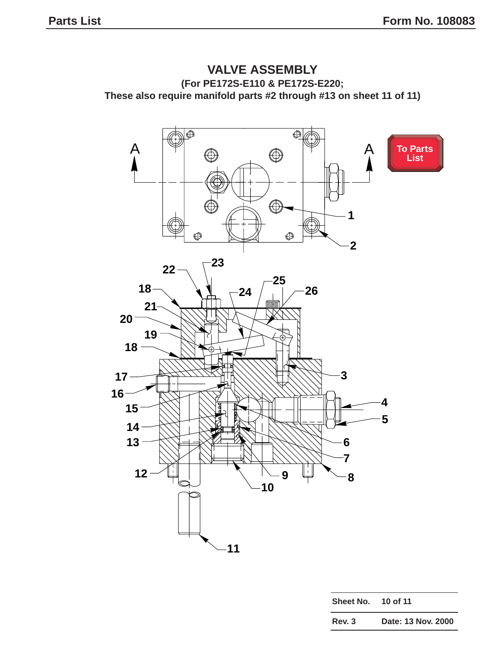<span id="page-18-0"></span>



| Sheet No. | 10 of 11           |
|-----------|--------------------|
| Rev. 3    | Date: 13 Nov. 2000 |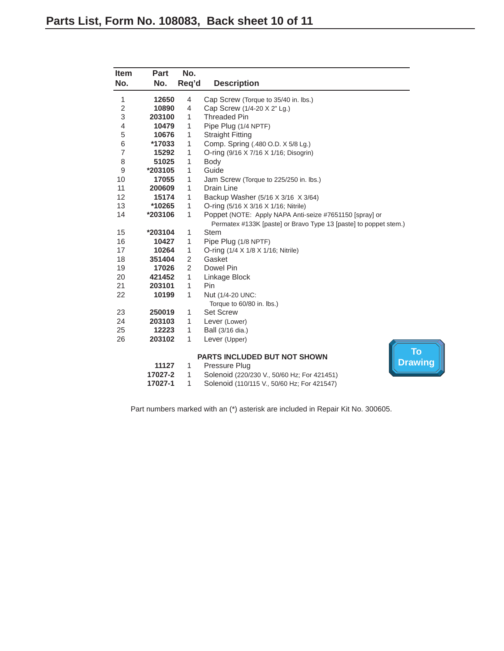<span id="page-19-0"></span>

| Item<br>No.    | Part<br>No. | No.<br>Req'd   | <b>Description</b>                                                                                                          |
|----------------|-------------|----------------|-----------------------------------------------------------------------------------------------------------------------------|
| 1              | 12650       | 4              | Cap Screw (Torque to 35/40 in. lbs.)                                                                                        |
| 2              | 10890       | 4              | Cap Screw (1/4-20 X 2" Lg.)                                                                                                 |
| 3              | 203100      | 1              | <b>Threaded Pin</b>                                                                                                         |
| 4              | 10479       | 1              | Pipe Plug (1/4 NPTF)                                                                                                        |
| 5              | 10676       | 1              | <b>Straight Fitting</b>                                                                                                     |
| 6              | *17033      | 1              | Comp. Spring (.480 O.D. X 5/8 Lg.)                                                                                          |
| $\overline{7}$ | 15292       | 1              | O-ring (9/16 X 7/16 X 1/16; Disogrin)                                                                                       |
| 8              | 51025       | 1              | Body                                                                                                                        |
| 9              | *203105     | 1              | Guide                                                                                                                       |
| 10             | 17055       | 1              | Jam Screw (Torque to 225/250 in. lbs.)                                                                                      |
| 11             | 200609      | 1              | Drain Line                                                                                                                  |
| 12             | 15174       | 1              | Backup Washer (5/16 X 3/16 X 3/64)                                                                                          |
| 13             | *10265      | 1              | O-ring (5/16 X 3/16 X 1/16; Nitrile)                                                                                        |
| 14             | *203106     | 1              | Poppet (NOTE: Apply NAPA Anti-seize #7651150 [spray] or<br>Permatex #133K [paste] or Bravo Type 13 [paste] to poppet stem.) |
| 15             | *203104     | 1              | <b>Stem</b>                                                                                                                 |
| 16             | 10427       | 1              | Pipe Plug (1/8 NPTF)                                                                                                        |
| 17             | 10264       | 1              | O-ring (1/4 X 1/8 X 1/16; Nitrile)                                                                                          |
| 18             | 351404      | 2              | Gasket                                                                                                                      |
| 19             | 17026       | $\overline{c}$ | Dowel Pin                                                                                                                   |
| 20             | 421452      | 1              | Linkage Block                                                                                                               |
| 21             | 203101      | 1              | Pin                                                                                                                         |
| 22             | 10199       | 1              | Nut (1/4-20 UNC:<br>Torque to 60/80 in. lbs.)                                                                               |
| 23             | 250019      | 1              | <b>Set Screw</b>                                                                                                            |
| 24             | 203103      | 1              | Lever (Lower)                                                                                                               |
| 25             | 12223       | 1              | Ball (3/16 dia.)                                                                                                            |
| 26             | 203102      | 1              | Lever (Upper)                                                                                                               |
|                |             |                | <b>To</b><br><b>PARTS INCLUDED BUT NOT SHOWN</b>                                                                            |
|                | 11127       | 1              | <b>Drawing</b><br>Pressure Plug                                                                                             |
|                | 17027-2     | 1              | Solenoid (220/230 V., 50/60 Hz; For 421451)                                                                                 |
|                | 17027-1     | 1              | Solenoid (110/115 V., 50/60 Hz; For 421547)                                                                                 |

Part numbers marked with an (\*) asterisk are included in Repair Kit No. 300605.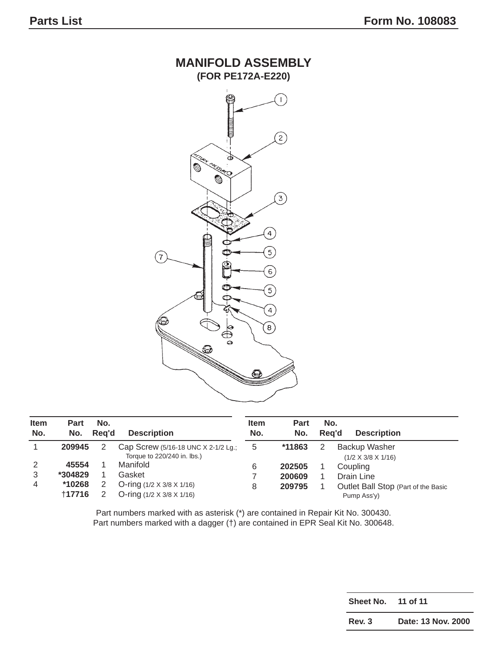

| <b>Item</b><br>No. | <b>Part</b><br>No.                   | No.<br>Rea'd | <b>Description</b>                                                                                   | <b>Item</b><br>No. | <b>Part</b><br>No.         | No.<br>Rea'd | <b>Description</b>                                                           |
|--------------------|--------------------------------------|--------------|------------------------------------------------------------------------------------------------------|--------------------|----------------------------|--------------|------------------------------------------------------------------------------|
|                    | 209945                               |              | Cap Screw (5/16-18 UNC $\times$ 2-1/2 Lg.;<br>Torque to 220/240 in. lbs.)                            | 5                  | *11863                     |              | Backup Washer<br>$(1/2 \times 3/8 \times 1/16)$                              |
| 2<br>3<br>4        | 45554<br>*304829<br>*10268<br>+17716 |              | Manifold<br>Gasket<br>O-ring $(1/2 \times 3/8 \times 1/16)$<br>O-ring $(1/2 \times 3/8 \times 1/16)$ | 6<br>8             | 202505<br>200609<br>209795 |              | Coupling<br>Drain Line<br>Outlet Ball Stop (Part of the Basic<br>Pump Ass'y) |

Part numbers marked with as asterisk (\*) are contained in Repair Kit No. 300430. Part numbers marked with a dagger (†) are contained in EPR Seal Kit No. 300648.

| Sheet No. | 11 of 11           |
|-----------|--------------------|
| Rev. 3    | Date: 13 Nov. 2000 |